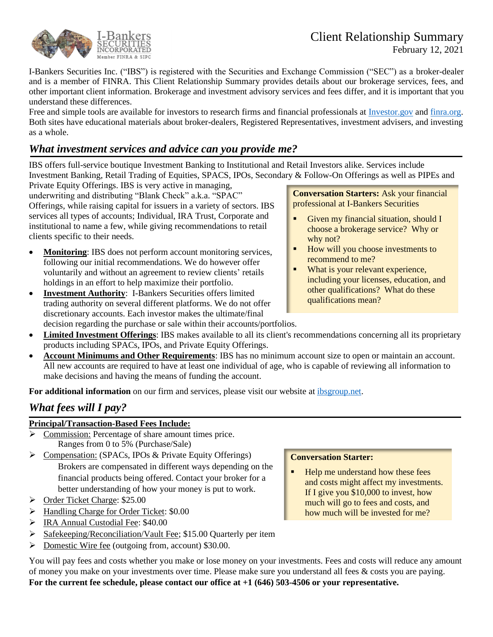



February 12, 2021

I-Bankers Securities Inc. ("IBS") is registered with the Securities and Exchange Commission ("SEC") as a broker-dealer and is a member of FINRA. This Client Relationship Summary provides details about our brokerage services, fees, and other important client information. Brokerage and investment advisory services and fees differ, and it is important that you understand these differences.

Free and simple tools are available for investors to research firms and financial professionals at **[Investor.gov](https://investor.gov/CRS)** and [finra.org.](https://www.finra.org/#/) Both sites have educational materials about broker-dealers, Registered Representatives, investment advisers, and investing as a whole.

## *What investment services and advice can you provide me?*

IBS offers full-service boutique Investment Banking to Institutional and Retail Investors alike. Services include Investment Banking, Retail Trading of Equities, SPACS, IPOs, Secondary & Follow-On Offerings as well as PIPEs and

Private Equity Offerings. IBS is very active in managing, underwriting and distributing "Blank Check" a.k.a. "SPAC" Offerings, while raising capital for issuers in a variety of sectors. IBS services all types of accounts; Individual, IRA Trust, Corporate and institutional to name a few, while giving recommendations to retail clients specific to their needs.

- **Monitoring**: IBS does not perform account monitoring services, following our initial recommendations. We do however offer voluntarily and without an agreement to review clients' retails holdings in an effort to help maximize their portfolio.
- **Investment Authority**: I-Bankers Securities offers limited trading authority on several different platforms. We do not offer discretionary accounts. Each investor makes the ultimate/final decision regarding the purchase or sale within their accounts/portfolios.

**Conversation Starters:** Ask your financial professional at I-Bankers Securities

- Given my financial situation, should I choose a brokerage service? Why or why not?
- How will you choose investments to recommend to me?
- What is your relevant experience, including your licenses, education, and other qualifications? What do these qualifications mean?
- **Limited Investment Offerings**: IBS makes available to all its client's recommendations concerning all its proprietary products including SPACs, IPOs, and Private Equity Offerings.
- **Account Minimums and Other Requirements**: IBS has no minimum account size to open or maintain an account. All new accounts are required to have at least one individual of age, who is capable of reviewing all information to make decisions and having the means of funding the account.

**For additional information** on our firm and services, please visit our website at [ibsgroup.net.](http://ibsgroup.net/)

# *What fees will I pay?*

## **Principal/Transaction-Based Fees Include:**

- ➢ Commission: Percentage of share amount times price. Ranges from 0 to 5% (Purchase/Sale)
- ➢ Compensation: (SPACs, IPOs & Private Equity Offerings) Brokers are compensated in different ways depending on the financial products being offered. Contact your broker for a better understanding of how your money is put to work.
- ➢ Order Ticket Charge: \$25.00
- ➢ Handling Charge for Order Ticket: \$0.00
- ➢ IRA Annual Custodial Fee: \$40.00
- ➢ Safekeeping/Reconciliation/Vault Fee; \$15.00 Quarterly per item
- ➢ Domestic Wire fee (outgoing from, account) \$30.00.

You will pay fees and costs whether you make or lose money on your investments. Fees and costs will reduce any amount of money you make on your investments over time. Please make sure you understand all fees & costs you are paying. **For the current fee schedule, please contact our office at +1 (646) 503-4506 or your representative.**

### **Conversation Starter:**

Help me understand how these fees and costs might affect my investments. If I give you \$10,000 to invest, how much will go to fees and costs, and how much will be invested for me?